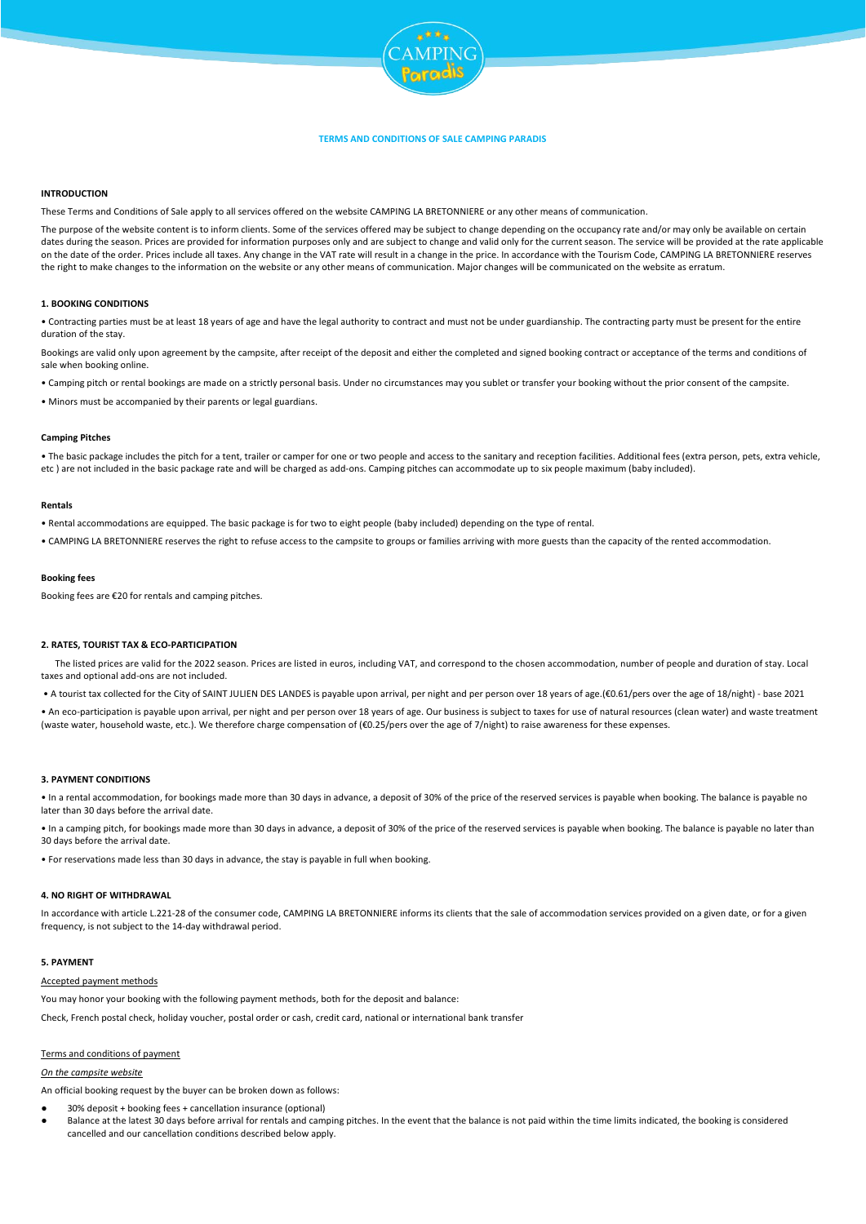

# **TERMS AND CONDITIONS OF SALE CAMPING PARADIS**

## **INTRODUCTION**

These Terms and Conditions of Sale apply to all services offered on the website CAMPING LA BRETONNIERE or any other means of communication.

The purpose of the website content is to inform clients. Some of the services offered may be subject to change depending on the occupancy rate and/or may only be available on certain dates during the season. Prices are provided for information purposes only and are subject to change and valid only for the current season. The service will be provided at the rate applicable on the date of the order. Prices include all taxes. Any change in the VAT rate will result in a change in the price. In accordance with the Tourism Code, CAMPING LA BRETONNIERE reserves the right to make changes to the information on the website or any other means of communication. Major changes will be communicated on the website as erratum.

### **1. BOOKING CONDITIONS**

• Contracting parties must be at least 18 years of age and have the legal authority to contract and must not be under guardianship. The contracting party must be present for the entire duration of the stay.

Bookings are valid only upon agreement by the campsite, after receipt of the deposit and either the completed and signed booking contract or acceptance of the terms and conditions of sale when booking online

• Camping pitch or rental bookings are made on a strictly personal basis. Under no circumstances may you sublet or transfer your booking without the prior consent of the campsite.

• Minors must be accompanied by their parents or legal guardians.

## **Camping Pitches**

• The basic package includes the pitch for a tent, trailer or camper for one or two people and access to the sanitary and reception facilities. Additional fees (extra person, pets, extra vehicle, etc ) are not included in the basic package rate and will be charged as add-ons. Camping pitches can accommodate up to six people maximum (baby included).

## **Rentals**

• Rental accommodations are equipped. The basic package is for two to eight people (baby included) depending on the type of rental.

• CAMPING LA BRETONNIERE reserves the right to refuse access to the campsite to groups or families arriving with more guests than the capacity of the rented accommodation.

# **Booking fees**

Booking fees are €20 for rentals and camping pitches.

# **2. RATES, TOURIST TAX & ECO-PARTICIPATION**

 The listed prices are valid for the 2022 season. Prices are listed in euros, including VAT, and correspond to the chosen accommodation, number of people and duration of stay. Local taxes and optional add-ons are not included.

• A tourist tax collected for the City of SAINT JULIEN DES LANDES is payable upon arrival, per night and per person over 18 years of age.(€0.61/pers over the age of 18/night) - base 2021

• An eco-participation is payable upon arrival, per night and per person over 18 years of age. Our business is subject to taxes for use of natural resources (clean water) and waste treatment (waste water, household waste, etc.). We therefore charge compensation of (€0.25/pers over the age of 7/night) to raise awareness for these expenses.

### **3. PAYMENT CONDITIONS**

• In a rental accommodation, for bookings made more than 30 days in advance, a deposit of 30% of the price of the reserved services is payable when booking. The balance is payable no later than 30 days before the arrival date.

• In a camping pitch, for bookings made more than 30 days in advance, a deposit of 30% of the price of the reserved services is payable when booking. The balance is payable no later than 30 days before the arrival date.

• For reservations made less than 30 days in advance, the stay is payable in full when booking.

### **4. NO RIGHT OF WITHDRAWAL**

In accordance with article L.221-28 of the consumer code, CAMPING LA BRETONNIERE informs its clients that the sale of accommodation services provided on a given date, or for a given frequency, is not subject to the 14-day withdrawal period.

# **5. PAYMENT**

#### Accepted payment methods

You may honor your booking with the following payment methods, both for the deposit and balance:

Check, French postal check, holiday voucher, postal order or cash, credit card, national or international bank transfer

#### Terms and conditions of payment

## *On the campsite website*

An official booking request by the buyer can be broken down as follows:

- 30% deposit + booking fees + cancellation insurance (optional)
- Balance at the latest 30 days before arrival for rentals and camping pitches. In the event that the balance is not paid within the time limits indicated, the booking is considered cancelled and our cancellation conditions described below apply.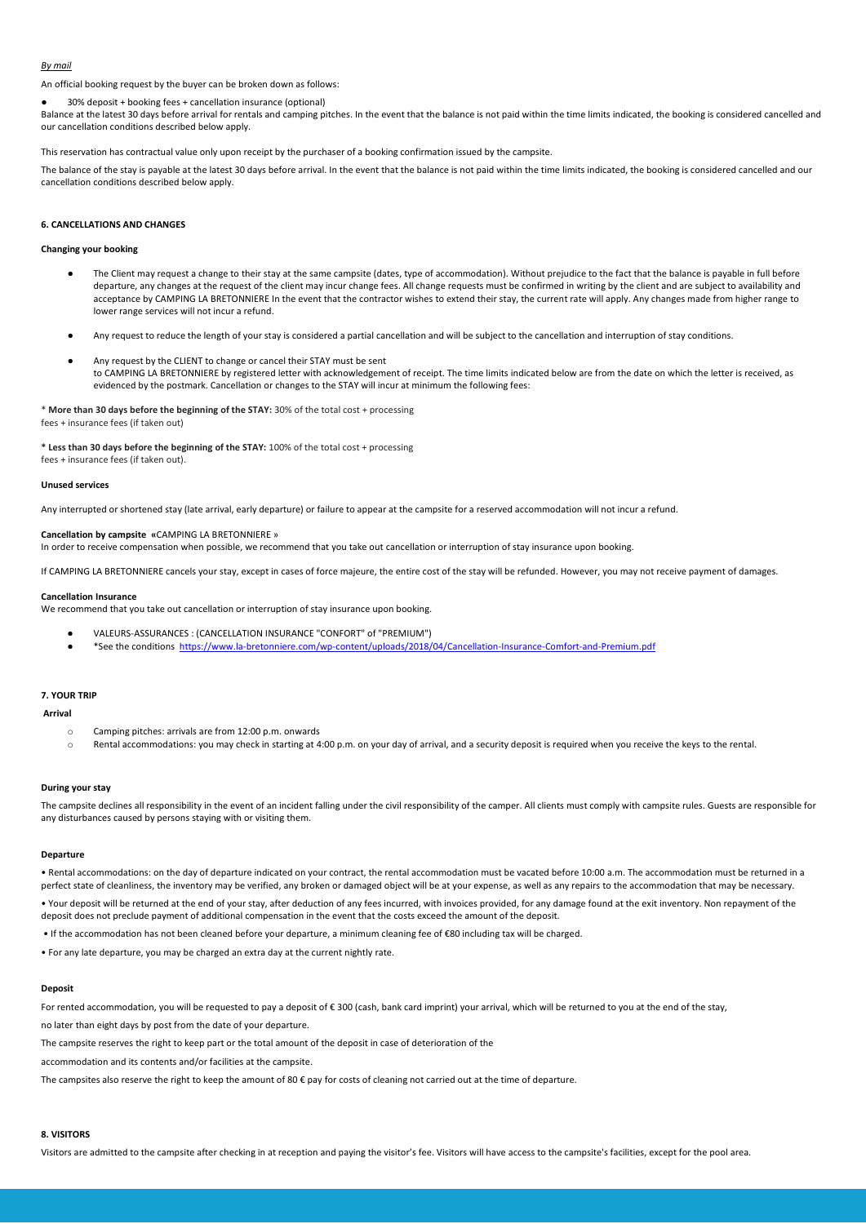### *By mail*

An official booking request by the buyer can be broken down as follows:

● 30% deposit + booking fees + cancellation insurance (optional)

Balance at the latest 30 days before arrival for rentals and camping pitches. In the event that the balance is not paid within the time limits indicated, the booking is considered cancelled and our cancellation conditions described below apply.

This reservation has contractual value only upon receipt by the purchaser of a booking confirmation issued by the campsite.

The balance of the stay is payable at the latest 30 days before arrival. In the event that the balance is not paid within the time limits indicated, the booking is considered cancelled and our cancellation conditions described below apply.

# **6. CANCELLATIONS AND CHANGES**

# **Changing your booking**

- The Client may request a change to their stay at the same campsite (dates, type of accommodation). Without prejudice to the fact that the balance is payable in full before departure, any changes at the request of the client may incur change fees. All change requests must be confirmed in writing by the client and are subject to availability and acceptance by CAMPING LA BRETONNIERE In the event that the contractor wishes to extend their stay, the current rate will apply. Any changes made from higher range to lower range services will not incur a refund.
- Any request to reduce the length of your stay is considered a partial cancellation and will be subject to the cancellation and interruption of stay conditions.
- Any request by the CLIENT to change or cancel their STAY must be sent to CAMPING LA BRETONNIERE by registered letter with acknowledgement of receipt. The time limits indicated below are from the date on which the letter is received, as evidenced by the postmark. Cancellation or changes to the STAY will incur at minimum the following fees:

\* **More than 30 days before the beginning of the STAY:** 30% of the total cost + processing fees + insurance fees (if taken out)

**\* Less than 30 days before the beginning of the STAY:** 100% of the total cost + processing

fees + insurance fees (if taken out).

## **Unused services**

Any interrupted or shortened stay (late arrival, early departure) or failure to appear at the campsite for a reserved accommodation will not incur a refund.

# **Cancellation by campsite «**CAMPING LA BRETONNIERE »

In order to receive compensation when possible, we recommend that you take out cancellation or interruption of stay insurance upon booking.

If CAMPING LA BRETONNIERE cancels your stay, except in cases of force majeure, the entire cost of the stay will be refunded. However, you may not receive payment of damages.

#### **Cancellation Insurance**

We recommend that you take out cancellation or interruption of stay insurance upon booking.

- VALEURS-ASSURANCES : (CANCELLATION INSURANCE "CONFORT" of "PREMIUM")
- \*See the conditions<https://www.la-bretonniere.com/wp-content/uploads/2018/04/Cancellation-Insurance-Comfort-and-Premium.pdf>

## **7. YOUR TRIP**

#### **Arrival**

- o Camping pitches: arrivals are from 12:00 p.m. onwards
- o Rental accommodations: you may check in starting at 4:00 p.m. on your day of arrival, and a security deposit is required when you receive the keys to the rental.

# **During your stay**

The campsite declines all responsibility in the event of an incident falling under the civil responsibility of the camper. All clients must comply with campsite rules. Guests are responsible for any disturbances caused by persons staying with or visiting them.

#### **Departure**

• Rental accommodations: on the day of departure indicated on your contract, the rental accommodation must be vacated before 10:00 a.m. The accommodation must be returned in a perfect state of cleanliness, the inventory may be verified, any broken or damaged object will be at your expense, as well as any repairs to the accommodation that may be necessary.

• Your deposit will be returned at the end of your stay, after deduction of any fees incurred, with invoices provided, for any damage found at the exit inventory. Non repayment of the deposit does not preclude payment of additional compensation in the event that the costs exceed the amount of the deposit.

• If the accommodation has not been cleaned before your departure, a minimum cleaning fee of €80 including tax will be charged.

• For any late departure, you may be charged an extra day at the current nightly rate.

#### **Deposit**

For rented accommodation, you will be requested to pay a deposit of € 300 (cash, bank card imprint) your arrival, which will be returned to you at the end of the stay,

no later than eight days by post from the date of your departure.

The campsite reserves the right to keep part or the total amount of the deposit in case of deterioration of the

accommodation and its contents and/or facilities at the campsite.

The campsites also reserve the right to keep the amount of 80  $\epsilon$  pay for costs of cleaning not carried out at the time of departure.

# **8. VISITORS**

Visitors are admitted to the campsite after checking in at reception and paying the visitor's fee. Visitors will have access to the campsite's facilities, except for the pool area.